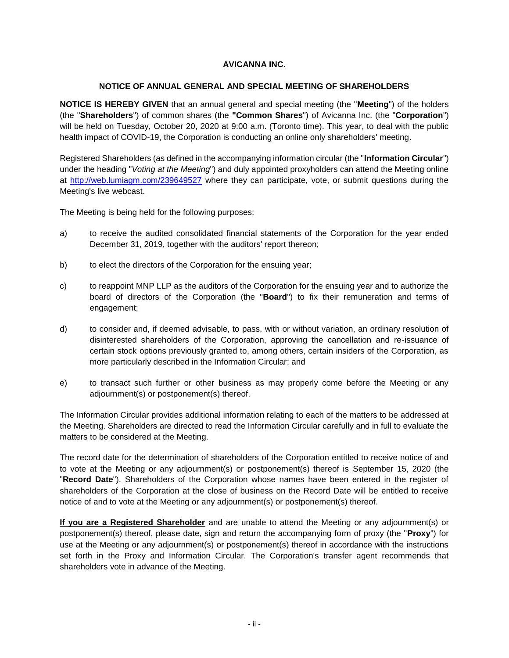## **AVICANNA INC.**

## **NOTICE OF ANNUAL GENERAL AND SPECIAL MEETING OF SHAREHOLDERS**

**NOTICE IS HEREBY GIVEN** that an annual general and special meeting (the "**Meeting**") of the holders (the "**Shareholders**") of common shares (the **"Common Shares**") of Avicanna Inc. (the "**Corporation**") will be held on Tuesday, October 20, 2020 at 9:00 a.m. (Toronto time). This year, to deal with the public health impact of COVID-19, the Corporation is conducting an online only shareholders' meeting.

Registered Shareholders (as defined in the accompanying information circular (the "**Information Circular**") under the heading "*Voting at the Meeting*") and duly appointed proxyholders can attend the Meeting online at<http://web.lumiagm.com/239649527> where they can participate, vote, or submit questions during the Meeting's live webcast.

The Meeting is being held for the following purposes:

- a) to receive the audited consolidated financial statements of the Corporation for the year ended December 31, 2019, together with the auditors' report thereon;
- b) to elect the directors of the Corporation for the ensuing year;
- c) to reappoint MNP LLP as the auditors of the Corporation for the ensuing year and to authorize the board of directors of the Corporation (the "**Board**") to fix their remuneration and terms of engagement;
- d) to consider and, if deemed advisable, to pass, with or without variation, an ordinary resolution of disinterested shareholders of the Corporation, approving the cancellation and re-issuance of certain stock options previously granted to, among others, certain insiders of the Corporation, as more particularly described in the Information Circular; and
- e) to transact such further or other business as may properly come before the Meeting or any adjournment(s) or postponement(s) thereof.

The Information Circular provides additional information relating to each of the matters to be addressed at the Meeting. Shareholders are directed to read the Information Circular carefully and in full to evaluate the matters to be considered at the Meeting.

The record date for the determination of shareholders of the Corporation entitled to receive notice of and to vote at the Meeting or any adjournment(s) or postponement(s) thereof is September 15, 2020 (the "**Record Date**"). Shareholders of the Corporation whose names have been entered in the register of shareholders of the Corporation at the close of business on the Record Date will be entitled to receive notice of and to vote at the Meeting or any adjournment(s) or postponement(s) thereof.

**If you are a Registered Shareholder** and are unable to attend the Meeting or any adjournment(s) or postponement(s) thereof, please date, sign and return the accompanying form of proxy (the "**Proxy**") for use at the Meeting or any adjournment(s) or postponement(s) thereof in accordance with the instructions set forth in the Proxy and Information Circular. The Corporation's transfer agent recommends that shareholders vote in advance of the Meeting.